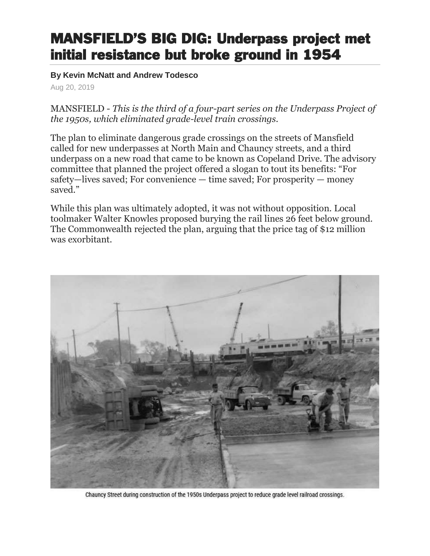## MANSFIELD'S BIG DIG: Underpass project met initial resistance but broke ground in 1954

**By Kevin McNatt and Andrew Todesco** 

Aug 20, 2019

MANSFIELD - *This is the third of a four-part series on the Underpass Project of the 1950s, which eliminated grade-level train crossings.*

The plan to eliminate dangerous grade crossings on the streets of Mansfield called for new underpasses at North Main and Chauncy streets, and a third underpass on a new road that came to be known as Copeland Drive. The advisory committee that planned the project offered a slogan to tout its benefits: "For safety—lives saved; For convenience — time saved; For prosperity — money saved."

While this plan was ultimately adopted, it was not without opposition. Local toolmaker Walter Knowles proposed burying the rail lines 26 feet below ground. The Commonwealth rejected the plan, arguing that the price tag of \$12 million was exorbitant.



Chauncy Street during construction of the 1950s Underpass project to reduce grade level railroad crossings.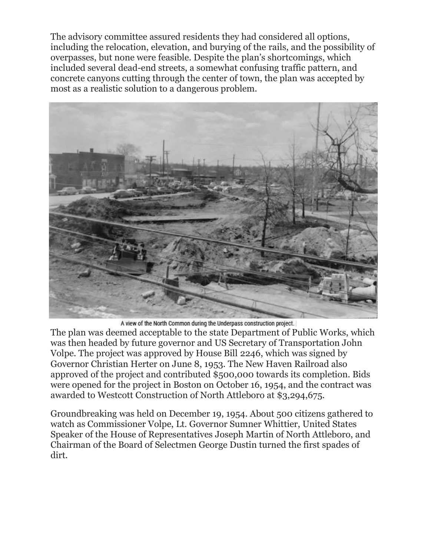The advisory committee assured residents they had considered all options, including the relocation, elevation, and burying of the rails, and the possibility of overpasses, but none were feasible. Despite the plan's shortcomings, which included several dead-end streets, a somewhat confusing traffic pattern, and concrete canyons cutting through the center of town, the plan was accepted by most as a realistic solution to a dangerous problem.



A view of the North Common during the Underpass construction project.

The plan was deemed acceptable to the state Department of Public Works, which was then headed by future governor and US Secretary of Transportation John Volpe. The project was approved by House Bill 2246, which was signed by Governor Christian Herter on June 8, 1953. The New Haven Railroad also approved of the project and contributed \$500,000 towards its completion. Bids were opened for the project in Boston on October 16, 1954, and the contract was awarded to Westcott Construction of North Attleboro at \$3,294,675.

Groundbreaking was held on December 19, 1954. About 500 citizens gathered to watch as Commissioner Volpe, Lt. Governor Sumner Whittier, United States Speaker of the House of Representatives Joseph Martin of North Attleboro, and Chairman of the Board of Selectmen George Dustin turned the first spades of dirt.